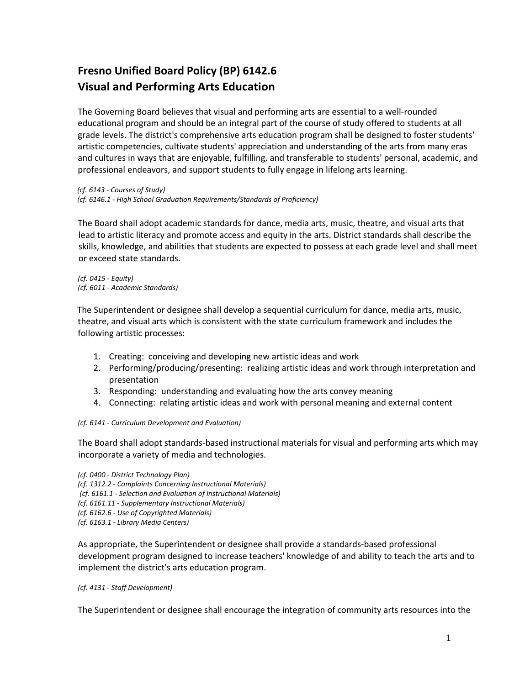## **Fresno Unified Board Policy (BP) 6142.6 Visual and Performing Arts Education**

The Governing Board believes that visual and performing arts are essential to a well-rounded educational program and should be an integral part of the course of study offered to students at all grade levels. The district's comprehensive arts education program shall be designed to foster students' artistic competencies, cultivate students' appreciation and understanding of the arts from many eras and cultures in ways that are enjoyable, fulfilling, and transferable to students' personal, academic, and professional endeavors, and support students to fully engage in lifelong arts learning.

*(cf. 6143 - Courses of Study) (cf. 6146.1 - High School Graduation Requirements/Standards of Proficiency)* 

The Board shall adopt academic standards for dance, media arts, music, theatre, and visual arts that lead to artistic literacy and promote access and equity in the arts. District standards shall describe the skills, knowledge, and abilities that students are expected to possess at each grade level and shall meet or exceed state standards.

*(cf. 0415 - Equity) (cf. 6011 - Academic Standards)*

The Superintendent or designee shall develop a sequential curriculum for dance, media arts, music, theatre, and visual arts which is consistent with the state curriculum framework and includes the following artistic processes:

- 1. Creating: conceiving and developing new artistic ideas and work
- 2. Performing/producing/presenting: realizing artistic ideas and work through interpretation and presentation
- 3. Responding: understanding and evaluating how the arts convey meaning
- 4. Connecting: relating artistic ideas and work with personal meaning and external content

## *(cf. 6141 - Curriculum Development and Evaluation)*

The Board shall adopt standards-based instructional materials for visual and performing arts which may incorporate a variety of media and technologies.

*(cf. 0400 - District Technology Plan) (cf. 1312.2 - Complaints Concerning Instructional Materials) (cf. 6161.1 - Selection and Evaluation of Instructional Materials) (cf. 6161.11 - Supplementary Instructional Materials) (cf. 6162.6 - Use of Copyrighted Materials) (cf. 6163.1 - Library Media Centers)*

As appropriate, the Superintendent or designee shall provide a standards-based professional development program designed to increase teachers' knowledge of and ability to teach the arts and to implement the district's arts education program.

## *(cf. 4131 - Staff Development)*

The Superintendent or designee shall encourage the integration of community arts resources into the